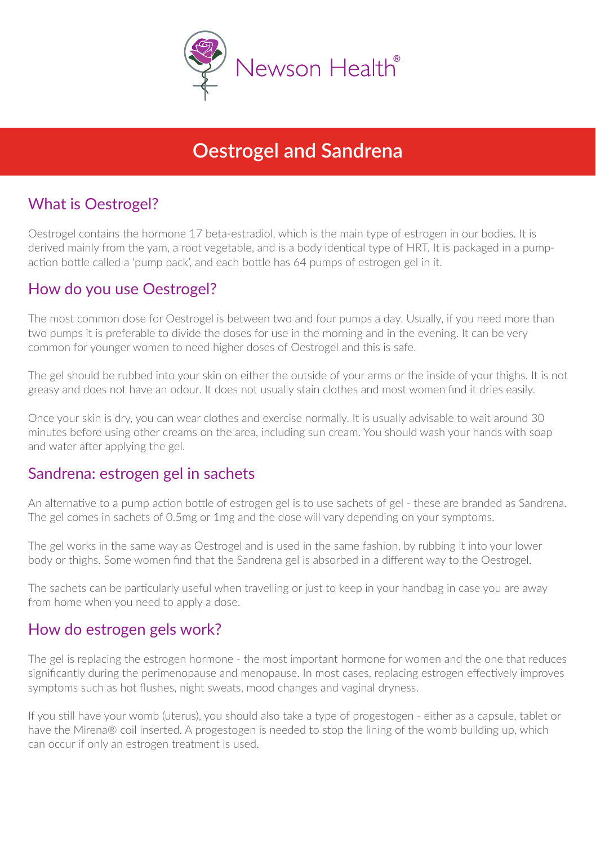

# **Oestrogel and Sandrena**

# What is Oestrogel?

Oestrogel contains the hormone 17 beta-estradiol, which is the main type of estrogen in our bodies. It is derived mainly from the yam, a root vegetable, and is a body identical type of HRT. It is packaged in a pumpaction bottle called a 'pump pack', and each bottle has 64 pumps of estrogen gel in it.

### How do you use Oestrogel?

The most common dose for Oestrogel is between two and four pumps a day. Usually, if you need more than two pumps it is preferable to divide the doses for use in the morning and in the evening. It can be very common for younger women to need higher doses of Oestrogel and this is safe.

The gel should be rubbed into your skin on either the outside of your arms or the inside of your thighs. It is not greasy and does not have an odour. It does not usually stain clothes and most women find it dries easily.

Once your skin is dry, you can wear clothes and exercise normally. It is usually advisable to wait around 30 minutes before using other creams on the area, including sun cream. You should wash your hands with soap and water after applying the gel.

#### Sandrena: estrogen gel in sachets

An alternative to a pump action bottle of estrogen gel is to use sachets of gel - these are branded as Sandrena. The gel comes in sachets of 0.5mg or 1mg and the dose will vary depending on your symptoms.

The gel works in the same way as Oestrogel and is used in the same fashion, by rubbing it into your lower body or thighs. Some women find that the Sandrena gel is absorbed in a different way to the Oestrogel.

The sachets can be particularly useful when travelling or just to keep in your handbag in case you are away from home when you need to apply a dose.

#### How do estrogen gels work?

The gel is replacing the estrogen hormone - the most important hormone for women and the one that reduces significantly during the perimenopause and menopause. In most cases, replacing estrogen effectively improves symptoms such as hot flushes, night sweats, mood changes and vaginal dryness.

If you still have your womb (uterus), you should also take a type of progestogen - either as a capsule, tablet or have the Mirena® coil inserted. A progestogen is needed to stop the lining of the womb building up, which can occur if only an estrogen treatment is used.